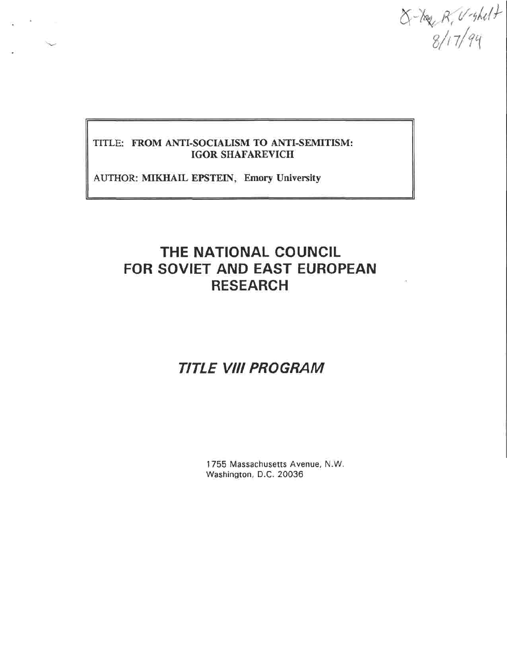$X - \frac{1}{8}R, V - \frac{1}{4}H$ 

#### TITLE: FROM ANTI-SOCIALISM TO ANTI-SEMITISM: IGOR SHAFAREVICH

AUTHOR: MIKHAIL EPSTEIN, Emory University

# **THE NATIONAL COUNCIL FOR SOVIET AND EAST EUROPEAN RESEARCH**

# **TITLE VIII PROGRAM**

1755 Massachusetts Avenue, N.W. Washington, D.C. 20036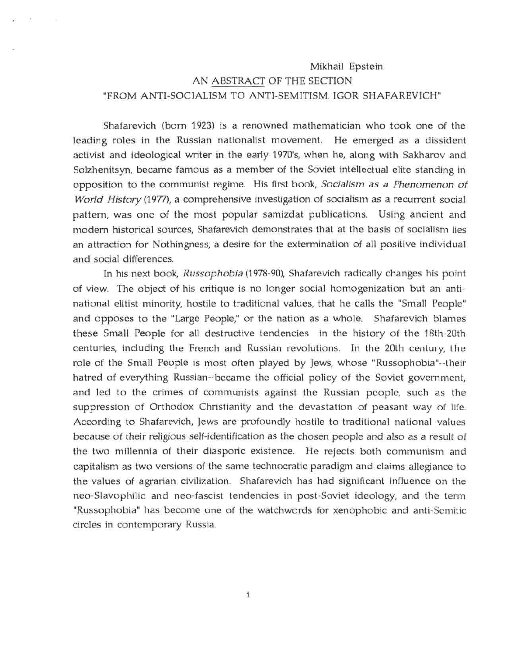### Mikhail Epstein AN ABSTRACT OF THE SECTION "FROM ANTI-SOCIALISM TO ANTI-SEMITISM. IGOR SHAFAREVICH"

Shafarevich (born 1923) is a renowned mathematician who took one of the leading roles in the Russian nationalist movement. He emerged as a dissident activist and ideological writer in the early 1970's, when he, along with Sakharov and Solzhenitsyn, became famous as a member of the Soviet intellectual elite standing in opposition to the communist regime. His first book, *Socialism as a Phenomenon of World History* (1977), a comprehensive investigation of socialism as a recurrent social pattern, was one of the most popular samizdat publications. Using ancient and modern historical sources, Shafarevich demonstrates that at the basis of socialism lies an attraction for Nothingness, a desire for the extermination of all positive individual and social differences.

In his next book, *Russophobia* (1978-90), Shafarevich radically changes his point of view. The object of his critique is no longer social homogenization but an antinational elitist minority, hostile to traditional values, that he calls the "Small People" and opposes to the "Large People," or the nation as a whole. Shafarevich blames these Small People for all destructive tendencies in the history of the 18th-20th centuries, including the French and Russian revolutions. In the 20th century, the role of the Small People is most often played by Jews, whose "Russophobia"-their hatred of everything Russian-became the official policy of the Soviet government, and led to the crimes of communists against the Russian people, such as the suppression of Orthodox Christianity and the devastation of peasant way of life. According to Shafarevich, Jews are profoundly hostile to traditional national values because of their religious self-identification as the chosen people and also as a result of the two millennia of their diasporic existence. He rejects both communism and capitalism as two versions of the same technocratic paradigm and claims allegiance to the values of agrarian civilization. Shafarevich has had significant influence on the neo-Slavophilic and neo-fascist tendencies in post-Soviet ideology, and the term "Russophobia" has become one of the watchwords for xenophobic and anti-Semitic circles in contemporary Russia.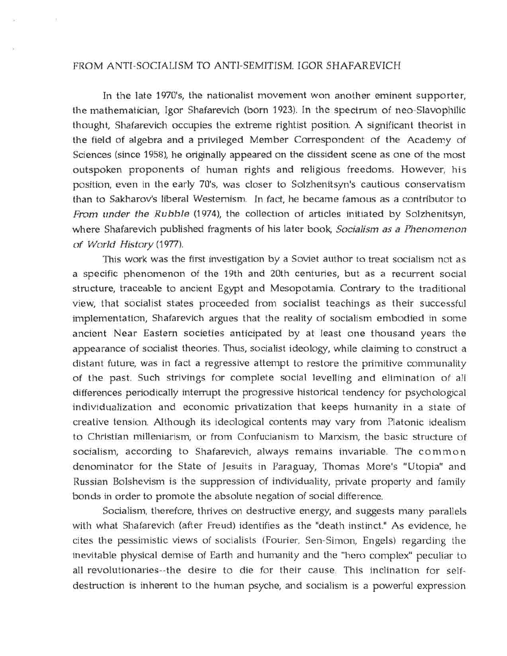#### FROM ANTI-SOCIALISM TO ANTI-SEMITISM. IGOR SHAFAREVICH

In the late 1970's, the nationalist movement won another eminent supporter, the mathematician, Igor Shafarevich (born 1923). In the spectrum of neo-Slavophilic thought, Shafarevich occupies the extreme rightist position. A significant theorist in the field of algebra and a privileged Member Correspondent of the Academy of Sciences (since 1958), he originally appeared on the dissident scene as one of the most outspoken proponents of human rights and religious freedoms. However, his position, even in the early 70's, was closer to Solzhenitsyn's cautious conservatism than to Sakharov's liberal Westernism. In fact, he became famous as a contributor to *From under the Rubble* (1974), the collection of articles initiated by Solzhenitsyn, where Shafarevich published fragments of his later book, *Socialism as a Phenomenon of World History* (1977).

This work was the first investigation by a Soviet author to treat socialism not as a specific phenomenon of the 19th and 20th centuries, but as a recurrent social structure, traceable to ancient Egypt and Mesopotamia. Contrary to the traditional view, that socialist states proceeded from socialist teachings as their successful implementation, Shafarevich argues that the reality of socialism embodied in some ancient Near Eastern societies anticipated by at least one thousand years the appearance of socialist theories. Thus, socialist ideology, while claiming to construct a distant future, was in fact a regressive attempt to restore the primitive communality of the past. Such strivings for complete social levelling and elimination of all differences periodically interrupt the progressive historical tendency for psychological individualization and economic privatization that keeps humanity in a state of creative tension. Although its ideological contents may vary from Platonic idealism to Christian milleniarism, or from Confucianism to Marxism, the basic structure of socialism, according to Shafarevich, always remains invariable. The common denominator for the State of Jesuits in Paraguay, Thomas More's "Utopia" and Russian Bolshevism is the suppression of individuality, private property and family bonds in order to promote the absolute negation of social difference.

Socialism, therefore, thrives on destructive energy, and suggests many parallels with what Shafarevich (after Freud) identifies as the "death instinct." As evidence, he cites the pessimistic views of socialists (Fourier, Sen-Simon, Engels) regarding the inevitable physical demise of Earth and humanity and the "hero complex" peculiar to all revolutionaries—the desire to die for their cause. This inclination for selfdestruction is inherent to the human psyche, and socialism is a powerful expression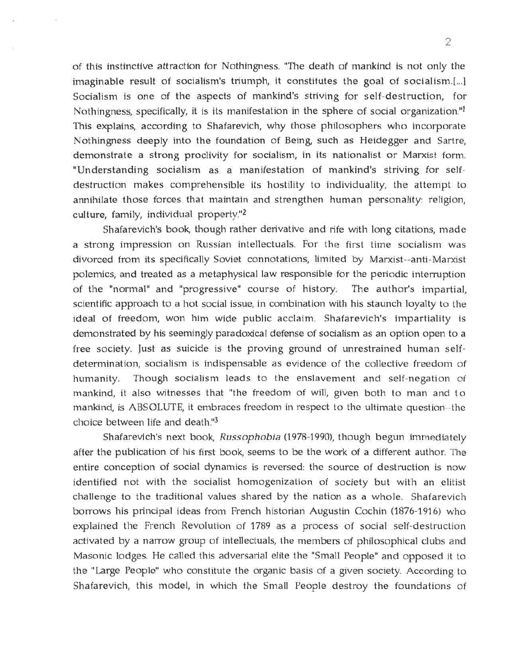of this instinctive attraction for Nothingness. "The death of mankind is not only the imaginable result of socialism's triumph, it constitutes the goal of socialism.[...] Socialism is one of the aspects of mankind's striving for self-destruction, for Nothingness, specifically, it is its manifestation in the sphere of social organization."<sup>1</sup> This explains, according to Shafarevich, why those philosophers who incorporate Nothingness deeply into the foundation of Being, such as Heidegger and Sartre, demonstrate a strong proclivity for socialism, in its nationalist or Marxist form. "Understanding socialism as a manifestation of mankind's striving for selfdestruction makes comprehensible its hostility to individuality, the attempt to annihilate those forces that maintain and strengthen human personality: religion, culture, family, individual property."<sup>2</sup>

Shafarevich's book, though rather derivative and rife with long citations, made a strong impression on Russian intellectuals. For the first time socialism was divorced from its specifically Soviet connotations, limited by Marxist--anti-Marxist polemics, and treated as a metaphysical law responsible for the periodic interruption of the "normal" and "progressive" course of history. The author's impartial, scientific approach to a hot social issue, in combination with his staunch loyalty to the ideal of freedom, won him wide public acclaim. Shafarevich's impartiality is demonstrated by his seemingly paradoxical defense of socialism as an option open to a free society. Just as suicide is the proving ground of unrestrained human selfdetermination, socialism is indispensable as evidence of the collective freedom of humanity. Though socialism leads to the enslavement and self-negation of mankind, it also witnesses that "the freedom of will, given both to man and to mankind, is ABSOLUTE, it embraces freedom in respect to the ultimate question—the choice between life and death."3

Shafarevich's next book, *Russophobia* (1978-1990), though begun immediately after the publication of his first book, seems to be the work of a different author. The entire conception of social dynamics is reversed: the source of destruction is now identified not with the socialist homogenization of society but with an elitist challenge to the traditional values shared by the nation as a whole. Shafarevich borrows his principal ideas from French historian Augustin Cochin (1876-1916) who explained the French Revolution of 1789 as a process of social self-destruction activated by a narrow group of intellectuals, the members of philosophical clubs and Masonic lodges. He called this adversarial elite the "Small People" and opposed it to the "Large People" who constitute the organic basis of a given society. According to Shafarevich, this model, in which the Small People destroy the foundations of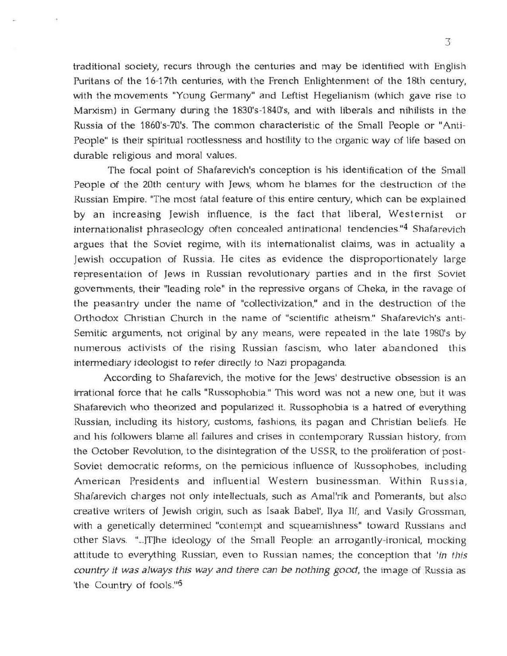traditional society, recurs through the centuries and may be identified with English Puritans of the 16-17th centuries, with the French Enlightenment of the 18th century, with the movements "Young Germany" and Leftist Hegelianism (which gave rise to Marxism) in Germany during the 1830's-1840's, and with liberals and nihilists in the Russia of the 1860's-70's. The common characteristic of the Small People or "Anti-People" is their spiritual rootlessness and hostility to the organic way of life based on durable religious and moral values.

The focal point of Shafarevich's conception is his identification of the Small People of the 20th century with Jews, whom he blames for the destruction of the Russian Empire. "The most fatal feature of this entire century, which can be explained by an increasing Jewish influence, is the fact that liberal, Westernist or internationalist phraseology often concealed antinational tendencies."<sup>4</sup> Shafarevich argues that the Soviet regime, with its internationalist claims, was in actuality a Jewish occupation of Russia. He cites as evidence the disproportionately large representation of Jews in Russian revolutionary parties and in the first Soviet governments, their "leading role" in the repressive organs of Cheka, in the ravage of the peasantry under the name of "collectivization," and in the destruction of the Orthodox Christian Church in the name of "scientific atheism." Shafarevich's anti-Semitic arguments, not original by any means, were repeated in the late 1980's by numerous activists of the rising Russian fascism, who later abandoned this intermediary ideologist to refer directly to Nazi propaganda.

According to Shafarevich, the motive for the Jews' destructive obsession is an irrational force that he calls "Russophobia." This word was not a new one, but it was Shafarevich who theorized and popularized it. Russophobia is a hatred of everything Russian, including its history, customs, fashions, its pagan and Christian beliefs. He and his followers blame all failures and crises in contemporary Russian history, from the October Revolution, to the disintegration of the USSR, to the proliferation of post-Soviet democratic reforms, on the pernicious influence of Russophobes, including American Presidents and influential Western businessman. Within Russia, Shafarevich charges not only intellectuals, such as Amal'rik and Pomerants, but also creative writers of Jewish origin, such as Isaak Babel', Ilya Ilf, and Vasily Grossman, with a genetically determined "contempt and squeamishness" toward Russians and other Slavs. "...]T]he ideology of the Small People: an arrogantly-ironical, mocking attitude to everything Russian, even to Russian names; the conception that *'in this country it was always this way and there can be nothing good,* the image of Russia as 'the Country of fools.'"5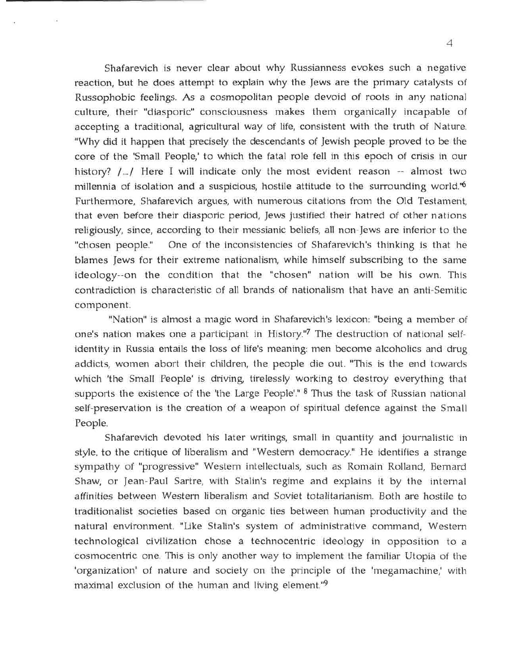Shafarevich is never clear about why Russianness evokes such a negative reaction, but he does attempt to explain why the Jews are the primary catalysts of Russophobic feelings. As a cosmopolitan people devoid of roots in any national culture, their "diasporic" consciousness makes them organically incapable of accepting a traditional, agricultural way of life, consistent with the truth of Nature. "Why did it happen that precisely the descendants of Jewish people proved to be the core of the 'Small People,' to which the fatal role fell in this epoch of crisis in our history?  $/$ .../ Here I will indicate only the most evident reason  $-$  almost two millennia of isolation and a suspicious, hostile attitude to the surrounding world."6 Furthermore, Shafarevich argues, with numerous citations from the Old Testament, that even before their diasporic period, Jews justified their hatred of other nations religiously, since, according to their messianic beliefs, all non-Jews are inferior to the "chosen people." One of the inconsistencies of Shafarevich's thinking is that he blames Jews for their extreme nationalism, while himself subscribing to the same ideology--on the condition that the "chosen" nation will be his own. This contradiction is characteristic of all brands of nationalism that have an anti-Semitic component.

"Nation" is almost a magic word in Shafarevich's lexicon: "being a member of one's nation makes one a participant in History."7 The destruction of national selfidentity in Russia entails the loss of life's meaning: men become alcoholics and drug addicts, women abort their children, the people die out. "This is the end towards which 'the Small People' is driving, tirelessly working to destroy everything that supports the existence of the 'the Large People'." <sup>8</sup> Thus the task of Russian national self-preservation is the creation of a weapon of spiritual defence against the Small People.

Shafarevich devoted his later writings, small in quantity and journalistic in style, to the critique of liberalism and "Western democracy." He identifies a strange sympathy of "progressive" Western intellectuals, such as Romain Rolland, Bernard Shaw, or Jean-Paul Sartre, with Stalin's regime and explains it by the internal affinities between Western liberalism and Soviet totalitarianism. Both are hostile to traditionalist societies based on organic ties between human productivity and the natural environment. "Like Stalin's system of administrative command, Western technological civilization chose a technocentric ideology in opposition to a cosmocentric one. This is only another way to implement the familiar Utopia of the 'organization' of nature and society on the principle of the 'megamachine,' with maximal exclusion of the human and living element."9